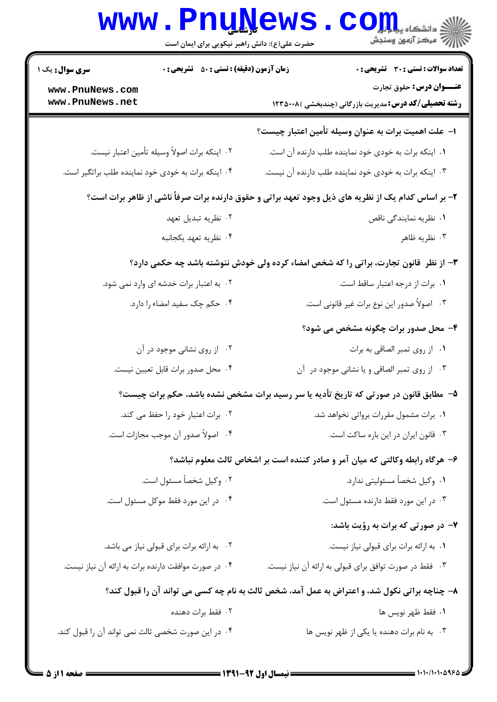|                                    | www.PnuNews<br>حضرت علی(ع): دانش راهبر نیکویی برای ایمان است | ان دانشڪاه پي <mark>ا بابو</mark><br>ا∜ مرڪز آزمون وسنڊش                                            |
|------------------------------------|--------------------------------------------------------------|-----------------------------------------------------------------------------------------------------|
| سری سوال: یک ۱                     | <b>زمان آزمون (دقیقه) : تستی : 50 ٪ تشریحی : 0</b>           | <b>تعداد سوالات : تستی : 30 ٪ تشریحی : 0</b>                                                        |
| www.PnuNews.com<br>www.PnuNews.net |                                                              | عنـــوان درس: حقوق تجارت<br><b>رشته تحصیلی/کد درس:</b> مدیریت بازرگانی (چندبخشی )۱۲۳۵۰۰۸            |
|                                    |                                                              | ا– علت اهمیت برات به عنوان وسیله تأمین اعتبار چیست؟                                                 |
|                                    | ٠٢ اينكه برات اصولاً وسيله تأمين اعتبار نيست.                | ۰۱ اینکه برات به خودی خود نماینده طلب دارنده آن است.                                                |
|                                    | ۰۴ اینکه برات به خودی خود نماینده طلب براتگیر است.           | ۰۳ اینکه برات به خودی خود نماینده طلب دارنده آن نیست.                                               |
|                                    |                                                              | ۲- بر اساس کدام یک از نظریه های ذیل وجود تعهد براتی و حقوق دارنده برات صرفاً ناشی از ظاهر برات است؟ |
|                                    | ۰۲ نظریه تبدیل تعهد                                          | ۰۱ نظریه نمایندگی ناقص                                                                              |
|                                    | ۰۴ نظریه تعهد یکجانبه                                        | ۰۳ نظریه ظاهر                                                                                       |
|                                    |                                                              | ۳- از نظر ً قانون تجارت، براتی را که شخص امضاء کرده ولی خودش ننوشته باشد چه حکمی دارد؟              |
|                                    | ۰۲ به اعتبار برات خدشه ای وارد نمی شود.                      | ۰۱ برات از درجه اعتبار ساقط است.                                                                    |
|                                    | ۴. حکم چک سفید امضاء را دارد.                                | ۰۳ اصولاً صدور این نوع برات غیر قانونی است.                                                         |
|                                    |                                                              | ۴- محل صدور برات چگونه مشخص می شود؟                                                                 |
|                                    | ۰۲ از روی نشانی موجود در آن                                  | ٠١ از روى تمبر الصاقى به برات                                                                       |
|                                    | ۰۴ محل صدور برات قابل تعيين نيست.                            | ۰۳ از روی تمبر الصاقی و یا نشانی موجود در آن                                                        |
|                                    |                                                              | ۵– ً مطابق قانون در صورتی که تاریخ تأدیه یا سر رسید برات مشخص نشده باشد، حکم برات چیست؟             |
|                                    | ۰۲ برات اعتبار خود را حفظ می کند.                            | ۰۱ برات مشمول مقررات برواتی نخواهد شد.                                                              |
|                                    | ۰۴ اصولاً صدور آن موجب مجازات است.                           | ٠٣ قانون ايران در اين باره ساكت است.                                                                |
|                                    |                                                              | ۶– هرگاه رابطه وکالتی که میان آمر و صادر کننده است بر اشخاص ثالث معلوم نباشد؟                       |
|                                    | ۰۲ وکیل شخصاً مسئول است.                                     | ۰۱ وکیل شخصاً مسئولیتی ندارد.                                                                       |
|                                    | ۰۴ در این مورد فقط موکل مسئول است.                           | ٠٣ در اين مورد فقط دارنده مسئول است.                                                                |
|                                    |                                                              | ۷- در صورتی که برات به رؤیت باشد:                                                                   |
|                                    | ٠٢ به ارائه برات براي قبولي نياز مي باشد.                    | ٠١ به ارائه برات براي قبولي نياز نيست.                                                              |
|                                    | ۰۴ در صورت موافقت دارنده برات به ارائه آن نیاز نیست.         | ۰۳ فقط در صورت توافق برای قبولی به ارائه آن نیاز نیست.                                              |
|                                    |                                                              | ۸– چناچه براتی نکول شد، و اعتراض به عمل آمد، شخص ثالث به نام چه کسی می تواند آن را قبول کند؟        |
|                                    | ۰۲ فقط برات دهنده                                            | ٠١. فقط ظهر نويس ها                                                                                 |
|                                    | ۰۴ در این صورت شخصی ثالث نمی تواند آن را قبول کند.           | ۰۳ به نام برات دهنده یا یکی از ظهر نویس ها                                                          |
|                                    |                                                              |                                                                                                     |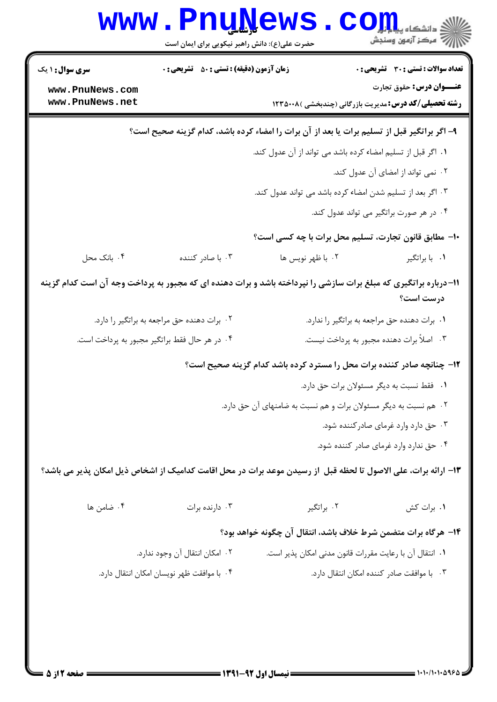| <b>WWW</b>                                                                                                                   | حضرت علی(ع): دانش راهبر نیکویی برای ایمان است                    |                                                                | دانشگاه پ <b>یا ب<sup>ا</sup> تو</b><br>ر آمرڪز آزمون وسنڊش                                     |  |  |  |  |
|------------------------------------------------------------------------------------------------------------------------------|------------------------------------------------------------------|----------------------------------------------------------------|-------------------------------------------------------------------------------------------------|--|--|--|--|
| <b>سری سوال : ۱ یک</b>                                                                                                       | <b>زمان آزمون (دقیقه) : تستی : 50 ٪ تشریحی : 0</b>               |                                                                | <b>تعداد سوالات : تستی : 30 ٪ تشریحی : 0</b>                                                    |  |  |  |  |
| www.PnuNews.com<br>www.PnuNews.net                                                                                           |                                                                  |                                                                | <b>عنـــوان درس:</b> حقوق تجارت<br><b>رشته تحصیلی/کد درس:</b> مدیریت بازرگانی (چندبخشی )۱۲۳۵۰۰۸ |  |  |  |  |
| ۹- اگر براتگیر قبل از تسلیم برات یا بعد از آن برات را امضاء کرده باشد، کدام گزینه صحیح است؟                                  |                                                                  |                                                                |                                                                                                 |  |  |  |  |
|                                                                                                                              | ٠١. اگر قبل از تسليم امضاء كرده باشد مى تواند از آن عدول كند.    |                                                                |                                                                                                 |  |  |  |  |
|                                                                                                                              |                                                                  |                                                                | ۰۲ نمی تواند از امضای آن عدول کند.                                                              |  |  |  |  |
|                                                                                                                              |                                                                  | ۰۳ اگر بعد از تسلیم شدن امضاء کرده باشد می تواند عدول کند.     |                                                                                                 |  |  |  |  |
|                                                                                                                              |                                                                  |                                                                | ۰۴ در هر صورت براتگیر می تواند عدول کند.                                                        |  |  |  |  |
|                                                                                                                              |                                                                  | ∙ا− مطابق قانون تجارت، تسلیم محل برات با چه کسی است؟           |                                                                                                 |  |  |  |  |
| ۰۴ بانک محل                                                                                                                  | ۰۳ با صادر کننده                                                 | ٠٢ با ظهر نويس ها                                              | ۰۱ با براتگیر                                                                                   |  |  |  |  |
| 11-درباره براتگیری که مبلغ برات سازشی را نپرداخته باشد و برات دهنده ای که مجبور به پرداخت وجه آن است کدام گزینه<br>درست است؟ |                                                                  |                                                                |                                                                                                 |  |  |  |  |
|                                                                                                                              | ۰۲ برات دهنده حق مراجعه به براتگیر را دارد.                      |                                                                | ٠١. برات دهنده حق مراجعه به براتگير را ندارد.                                                   |  |  |  |  |
|                                                                                                                              | ۰۴ در هر حال فقط براتگیر مجبور به پرداخت است.                    |                                                                | ۰۳ اصلاً برات دهنده مجبور به پرداخت نیست.                                                       |  |  |  |  |
| ۱۲- چنانچه صادر کننده برات محل را مسترد کرده باشد کدام گزینه صحیح است؟                                                       |                                                                  |                                                                |                                                                                                 |  |  |  |  |
|                                                                                                                              | ۰۱ فقط نسبت به دیگر مسئولان برات حق دارد.                        |                                                                |                                                                                                 |  |  |  |  |
|                                                                                                                              | ۰۲ هم نسبت به دیگر مسئولان برات و هم نسبت به ضامنهای آن حق دارد. |                                                                |                                                                                                 |  |  |  |  |
|                                                                                                                              | ۰۳ حق دارد وارد غرمای صادر کننده شود.                            |                                                                |                                                                                                 |  |  |  |  |
|                                                                                                                              |                                                                  |                                                                | ۰۴ حق ندارد وارد غرمای صادر کننده شود.                                                          |  |  |  |  |
| ١٣- ارائه برات، على الاصول تا لحظه قبل  از رسيدن موعد برات در محل اقامت كداميك از اشخاص ذيل امكان پذير مى باشد؟              |                                                                  |                                                                |                                                                                                 |  |  |  |  |
| ۰۴ ضامن ها                                                                                                                   | ۰۳ دارنده برات                                                   | ۰۲ براتگیر                                                     | ۰۱ برات کش                                                                                      |  |  |  |  |
|                                                                                                                              |                                                                  | ۱۴– هرگاه برات متضمن شرط خلاف باشد، انتقال آن چگونه خواهد بود؟ |                                                                                                 |  |  |  |  |
|                                                                                                                              | ۰۲ امکان انتقال آن وجود ندارد.                                   | ٠١ انتقال آن با رعايت مقررات قانون مدنى امكان پذير است.        |                                                                                                 |  |  |  |  |
|                                                                                                                              | ۰۴ با موافقت ظهر نويسان امكان انتقال دارد.                       |                                                                | ٠٣ با موافقت صادر كننده امكان انتقال دارد.                                                      |  |  |  |  |
|                                                                                                                              |                                                                  |                                                                |                                                                                                 |  |  |  |  |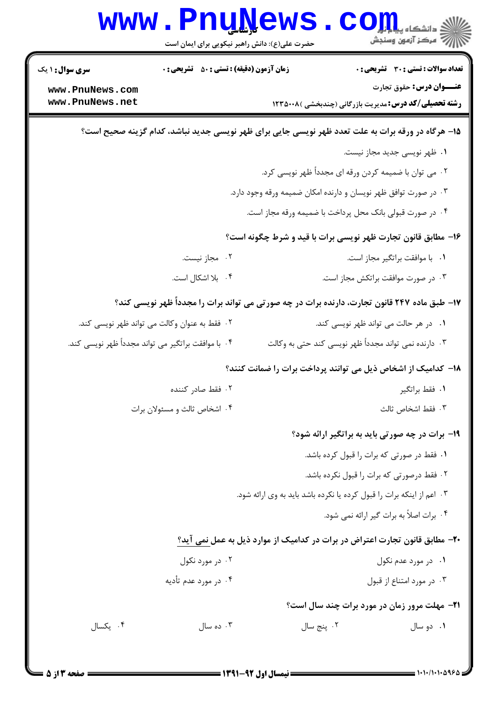| <b>WWW</b>                                                                                        | <b>Ludile</b> M<br>حضرت علی(ع): دانش راهبر نیکویی برای ایمان است |                                                                       | د دانشگاه پی <mark>ا بر</mark> ت <mark>و</mark> ر<br>رِ آھرڪز آزمون وسنڊش                       |  |  |  |
|---------------------------------------------------------------------------------------------------|------------------------------------------------------------------|-----------------------------------------------------------------------|-------------------------------------------------------------------------------------------------|--|--|--|
| <b>سری سوال :</b> ۱ یک                                                                            | <b>زمان آزمون (دقیقه) : تستی : 50 ٪ تشریحی : 0</b>               |                                                                       | <b>تعداد سوالات : تستی : 30 ٪ تشریحی : 0</b>                                                    |  |  |  |
| www.PnuNews.com<br>www.PnuNews.net                                                                |                                                                  |                                                                       | <b>عنـــوان درس:</b> حقوق تجارت<br><b>رشته تحصیلی/کد درس:</b> مدیریت بازرگانی (چندبخشی )۱۲۳۵۰۰۸ |  |  |  |
| ۱۵– هرگاه در ورقه برات به علت تعدد ظهر نویسی جایی برای ظهر نویسی جدید نباشد، کدام گزینه صحیح است؟ |                                                                  |                                                                       |                                                                                                 |  |  |  |
|                                                                                                   |                                                                  |                                                                       | ۰۱ ظهر نویسی جدید مجاز نیست.                                                                    |  |  |  |
|                                                                                                   |                                                                  |                                                                       | ۰۲ می توان با ضمیمه کردن ورقه ای مجدداً ظهر نویسی کرد.                                          |  |  |  |
|                                                                                                   |                                                                  | ۰۳ در صورت توافق ظهر نویسان و دارنده امکان ضمیمه ورقه وجود دارد.      |                                                                                                 |  |  |  |
|                                                                                                   |                                                                  | ۰۴ در صورت قبولی بانک محل پرداخت با ضمیمه ورقه مجاز است.              |                                                                                                 |  |  |  |
|                                                                                                   |                                                                  |                                                                       | ۱۶– مطابق قانون تجارت ظهر نویسی برات با قید و شرط چگونه است؟                                    |  |  |  |
|                                                                                                   | ۰۲ مجاز نیست.                                                    |                                                                       | ٠١. با موافقت براتگير مجاز است.                                                                 |  |  |  |
|                                                                                                   | ۰۴ بلا اشکال است.                                                |                                                                       | ۰۳ در صورت موافقت براتکش مجاز است.                                                              |  |  |  |
|                                                                                                   |                                                                  |                                                                       | ۱۷- طبق ماده ۲۴۷ قانون تجارت، دارنده برات در چه صورتی می تواند برات را مجدداً ظهر نویسی کند؟    |  |  |  |
|                                                                                                   | ۰۲ فقط به عنوان وکالت می تواند ظهر نویسی کند.                    |                                                                       | ۰۱ در هر حالت می تواند ظهر نویسی کند.                                                           |  |  |  |
| ۰۴ با موافقت براتگیر می تواند مجدداً ظهر نویسی کند.                                               |                                                                  |                                                                       | ۰۳ دارنده نمی تواند مجدداً ظهر نویسی کند حتی به وکالت                                           |  |  |  |
|                                                                                                   |                                                                  |                                                                       | ۱۸– کدامیک از اشخاص ذیل می توانند پرداخت برات را ضمانت کنند؟                                    |  |  |  |
|                                                                                                   | ۰۲ فقط صادر کننده                                                |                                                                       | ٠١. فقط براتگير                                                                                 |  |  |  |
|                                                                                                   | ۰۴ اشخاص ثالث و مسئولان برات                                     |                                                                       | ٠٣ فقط اشخاص ثالث                                                                               |  |  |  |
|                                                                                                   |                                                                  |                                                                       | <b>۱۹</b> - برات در چه صورتی باید به براتگیر ارائه شود؟                                         |  |  |  |
|                                                                                                   |                                                                  |                                                                       | ۰۱ فقط در صورتی که برات را قبول کرده باشد.                                                      |  |  |  |
|                                                                                                   |                                                                  |                                                                       | ٢. فقط درصورتي كه برات را قبول نكرده باشد.                                                      |  |  |  |
|                                                                                                   |                                                                  | ۰۳ اعم از اینکه برات را قبول کرده یا نکرده باشد باید به وی ارائه شود. |                                                                                                 |  |  |  |
|                                                                                                   |                                                                  |                                                                       | ۰۴ برات اصلاً به برات گیر ارائه نمی شود.                                                        |  |  |  |
|                                                                                                   |                                                                  |                                                                       | ۲۰- مطابق قانون تجارت اعتراض در برات در کدامیک از موارد ذیل به عمل نمی آید؟                     |  |  |  |
|                                                                                                   | ۰۲ در مورد نکول                                                  |                                                                       | ۰۱ در مورد عدم نکول                                                                             |  |  |  |
|                                                                                                   | ۰۴ در مورد عدم تأدیه                                             |                                                                       | ۰۳ در مورد امتناع از قبول                                                                       |  |  |  |
|                                                                                                   |                                                                  |                                                                       | <b>۲۱</b> - مهلت مرور زمان در مورد برات چند سال است؟                                            |  |  |  |
| ۰۴ یکسال                                                                                          | ۰۳ ده سال                                                        | ٢. پنج سال                                                            | ۰۱ دو سال                                                                                       |  |  |  |
|                                                                                                   |                                                                  |                                                                       |                                                                                                 |  |  |  |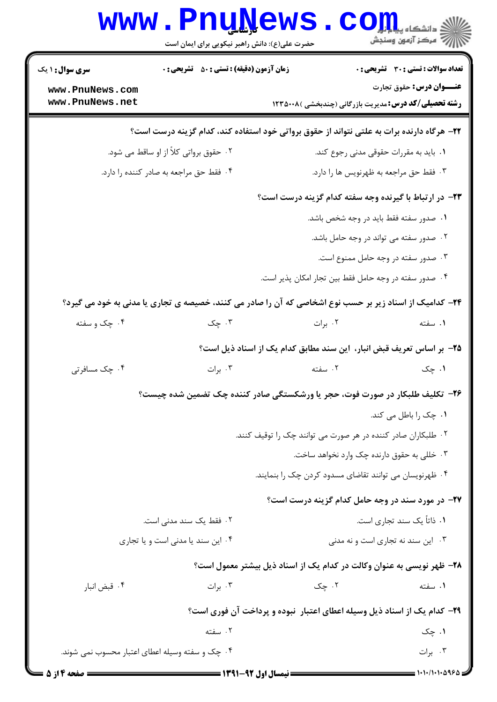|                                                 | <b>www.PnuNews</b><br>حضرت علی(ع): دانش راهبر نیکویی برای ایمان است                                    |                                                                          | الله دانشگاه پیام اوران<br>الله عرکز آزمهن وسنجش |  |
|-------------------------------------------------|--------------------------------------------------------------------------------------------------------|--------------------------------------------------------------------------|--------------------------------------------------|--|
| <b>سری سوال : ۱ یک</b>                          | <b>زمان آزمون (دقیقه) : تستی : 50 ٪ تشریحی : 0</b>                                                     |                                                                          | <b>تعداد سوالات : تستی : 30 ٪ تشریحی : 0</b>     |  |
| www.PnuNews.com                                 |                                                                                                        |                                                                          | <b>عنـــوان درس:</b> حقوق تجارت                  |  |
| www.PnuNews.net                                 |                                                                                                        | <b>رشته تحصیلی/کد درس:</b> مدیریت بازرگانی (چندبخشی )۱۲۳۵۰۰۸             |                                                  |  |
|                                                 | ۲۲– هرگاه دارنده برات به علتی نتواند از حقوق برواتی خود استفاده کند، کدام گزینه درست است؟              |                                                                          |                                                  |  |
| ۰۲ حقوق برواتی کلاً از او ساقط می شود.          |                                                                                                        | ۰۱ باید به مقررات حقوقی مدنی رجوع کند.                                   |                                                  |  |
| ۰۴ فقط حق مراجعه به صادر كننده را دارد.         |                                                                                                        | ۰۳ فقط حق مراجعه به ظهرنويس ها را دارد.                                  |                                                  |  |
|                                                 |                                                                                                        | ۲۳– در ارتباط با گیرنده وجه سفته کدام گزینه درست است؟                    |                                                  |  |
|                                                 |                                                                                                        |                                                                          | ۰۱ صدور سفته فقط باید در وجه شخص باشد.           |  |
|                                                 |                                                                                                        |                                                                          | ۰۲ صدور سفته می تواند در وجه حامل باشد.          |  |
|                                                 |                                                                                                        |                                                                          | ۰۳ صدور سفته در وجه حامل ممنوع است.              |  |
|                                                 |                                                                                                        | ۰۴ صدور سفته در وجه حامل فقط بین تجار امکان پذیر است.                    |                                                  |  |
|                                                 | ۲۴- کدامیک از اسناد زیر بر حسب نوع اشخاصی که آن را صادر می کنند، خصیصه ی تجاری یا مدنی به خود می گیرد؟ |                                                                          |                                                  |  |
| ۰۴ چک و سفته                                    | ۰۳ چک                                                                                                  | ۰۲ برات                                                                  | ۰۱ سفته                                          |  |
|                                                 |                                                                                                        | ۲۵– بر اساس تعریف قبض انبار، این سند مطابق کدام یک از اسناد ذیل است؟     |                                                  |  |
| ۰۴ چک مسافرتی                                   | ۰۳ برات                                                                                                | ۰۲ سفته                                                                  | ۰۱ چک                                            |  |
|                                                 | ۲۶- تکلیف طلبکار در صورت فوت، حجر یا ورشکستگی صادر کننده چک تضمین شده چیست؟                            |                                                                          |                                                  |  |
|                                                 |                                                                                                        |                                                                          | ۰۱ چک را باطل می کند.                            |  |
|                                                 |                                                                                                        | ۰۲ طلبکاران صادر کننده در هر صورت می توانند چک را توقیف کنند.            |                                                  |  |
|                                                 | ۰۳ خللی به حقوق دارنده چک وارد نخواهد ساخت.                                                            |                                                                          |                                                  |  |
|                                                 |                                                                                                        | ۰۴ ظهرنویسان می توانند تقاضای مسدود کردن چک را بنمایند.                  |                                                  |  |
|                                                 |                                                                                                        | <b>۲۷-</b> در مورد سند در وجه حامل کدام گزینه درست است؟                  |                                                  |  |
|                                                 | ۲۰ فقط یک سند مدنی است.                                                                                |                                                                          | ٠١. ذاتاً يک سند تجاري است.                      |  |
|                                                 | ۰۴ این سند یا مدنی است و یا تجاری                                                                      |                                                                          | ۰۳ این سند نه تجاری است و نه مدنی                |  |
|                                                 |                                                                                                        | ۲۸– ظهر نویسی به عنوان وکالت در کدام یک از اسناد ذیل بیشتر معمول است؟    |                                                  |  |
| ۰۴ قبض انبار                                    | ۰۳ برات                                                                                                | ۰۲ چک                                                                    | ۰۱ سفته                                          |  |
|                                                 |                                                                                                        | ۲۹- کدام یک از اسناد ذیل وسیله اعطای اعتبار ًنبوده و پرداخت آن فوری است؟ |                                                  |  |
|                                                 | ۰۲ سفته                                                                                                |                                                                          | ۰۱ چک                                            |  |
| ۰۴ چک و سفته وسیله اعطای اعتبار محسوب نمی شوند. |                                                                                                        |                                                                          | ۰۳ برات                                          |  |
| صفحه 4 از 5                                     |                                                                                                        |                                                                          | $1 - 1 - 11 - 1 - 996$                           |  |